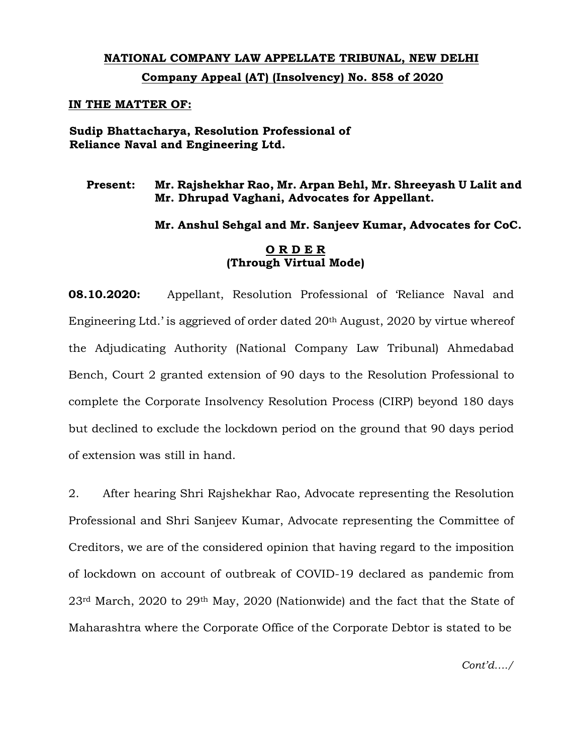## **NATIONAL COMPANY LAW APPELLATE TRIBUNAL, NEW DELHI Company Appeal (AT) (Insolvency) No. 858 of 2020**

## **IN THE MATTER OF:**

**Sudip Bhattacharya, Resolution Professional of Reliance Naval and Engineering Ltd.** 

## **Present: Mr. Rajshekhar Rao, Mr. Arpan Behl, Mr. Shreeyash U Lalit and Mr. Dhrupad Vaghani, Advocates for Appellant.**

**Mr. Anshul Sehgal and Mr. Sanjeev Kumar, Advocates for CoC.**

## **O R D E R (Through Virtual Mode)**

**08.10.2020:** Appellant, Resolution Professional of 'Reliance Naval and Engineering Ltd.' is aggrieved of order dated 20th August, 2020 by virtue whereof the Adjudicating Authority (National Company Law Tribunal) Ahmedabad Bench, Court 2 granted extension of 90 days to the Resolution Professional to complete the Corporate Insolvency Resolution Process (CIRP) beyond 180 days but declined to exclude the lockdown period on the ground that 90 days period of extension was still in hand.

2. After hearing Shri Rajshekhar Rao, Advocate representing the Resolution Professional and Shri Sanjeev Kumar, Advocate representing the Committee of Creditors, we are of the considered opinion that having regard to the imposition of lockdown on account of outbreak of COVID-19 declared as pandemic from 23rd March, 2020 to 29th May, 2020 (Nationwide) and the fact that the State of Maharashtra where the Corporate Office of the Corporate Debtor is stated to be

*Cont'd…./*